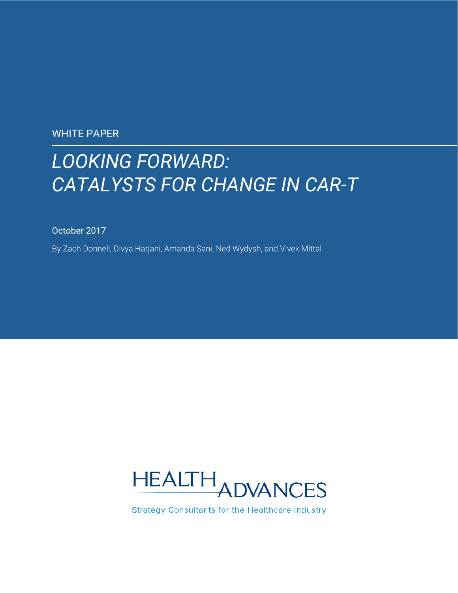WHITE PAPER

# *LOOKING FORWARD: CATALYSTS FOR CHANGE IN CAR-T*

October 2017

By Zach Donnell, Divya Harjani, Amanda Sani, Ned Wydysh, and Vivek Mittal



**Strategy Consultants for the Healthcare Industry**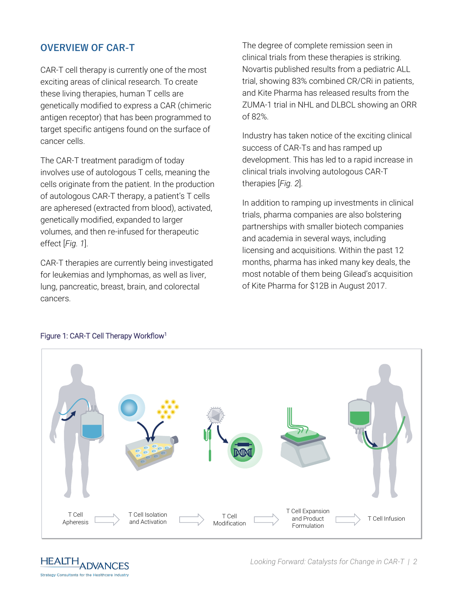### **OVERVIEW OF CAR-T**

CAR-T cell therapy is currently one of the most exciting areas of clinical research. To create these living therapies, human T cells are genetically modified to express a CAR (chimeric antigen receptor) that has been programmed to target specific antigens found on the surface of cancer cells.

The CAR-T treatment paradigm of today involves use of autologous T cells, meaning the cells originate from the patient. In the production of autologous CAR-T therapy, a patient's T cells are apheresed (extracted from blood), activated, genetically modified, expanded to larger volumes, and then re-infused for therapeutic effect [*Fig. 1*].

CAR-T therapies are currently being investigated for leukemias and lymphomas, as well as liver, lung, pancreatic, breast, brain, and colorectal cancers.

The degree of complete remission seen in clinical trials from these therapies is striking. Novartis published results from a pediatric ALL trial, showing 83% combined CR/CRi in patients, and Kite Pharma has released results from the ZUMA-1 trial in NHL and DLBCL showing an ORR of 82%.

Industry has taken notice of the exciting clinical success of CAR-Ts and has ramped up development. This has led to a rapid increase in clinical trials involving autologous CAR-T therapies [*Fig. 2*].

In addition to ramping up investments in clinical trials, pharma companies are also bolstering partnerships with smaller biotech companies and academia in several ways, including licensing and acquisitions. Within the past 12 months, pharma has inked many key deals, the most notable of them being Gilead's acquisition of Kite Pharma for \$12B in August 2017.



#### Figure 1: CAR-T Cell Therapy Workflow[1](#page-8-0)

**HEALTH ADVANCES Strategy Consultants for the Healthcare Industry**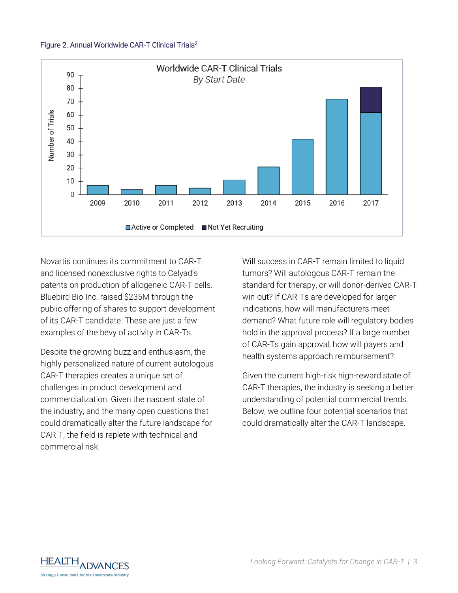#### Figure 2. Annual Worldwide CAR-T Clinical Trial[s](#page-8-1)<sup>2</sup>



Novartis continues its commitment to CAR-T and licensed nonexclusive rights to Celyad's patents on production of allogeneic CAR-T cells. Bluebird Bio Inc. raised \$235M through the public offering of shares to support development of its CAR-T candidate. These are just a few examples of the bevy of activity in CAR-Ts.

Despite the growing buzz and enthusiasm, the highly personalized nature of current autologous CAR-T therapies creates a unique set of challenges in product development and commercialization. Given the nascent state of the industry, and the many open questions that could dramatically alter the future landscape for CAR-T, the field is replete with technical and commercial risk.

Will success in CAR-T remain limited to liquid tumors? Will autologous CAR-T remain the standard for therapy, or will donor-derived CAR-T win-out? If CAR-Ts are developed for larger indications, how will manufacturers meet demand? What future role will regulatory bodies hold in the approval process? If a large number of CAR-Ts gain approval, how will payers and health systems approach reimbursement?

Given the current high-risk high-reward state of CAR-T therapies, the industry is seeking a better understanding of potential commercial trends. Below, we outline four potential scenarios that could dramatically alter the CAR-T landscape.

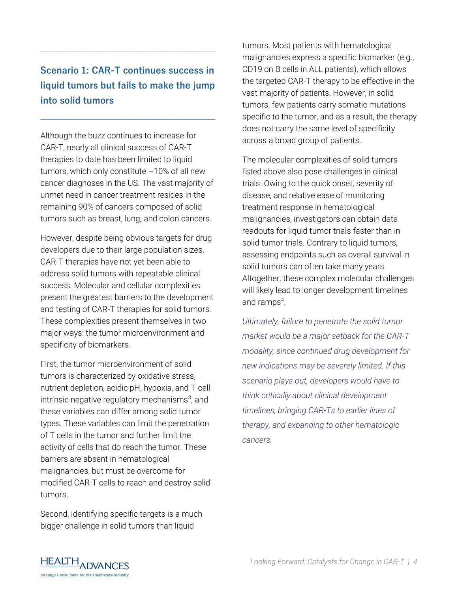# **Scenario 1: CAR-T continues success in liquid tumors but fails to make the jump into solid tumors**

**\_\_\_\_\_\_\_\_\_\_\_\_\_\_\_\_\_\_\_\_\_\_\_\_\_\_\_\_\_\_\_\_\_\_\_\_\_\_\_**

**\_\_\_\_\_\_\_\_\_\_\_\_\_\_\_\_\_\_\_\_\_\_\_\_\_\_\_\_\_\_\_\_\_\_\_\_\_\_\_**

Although the buzz continues to increase for CAR-T, nearly all clinical success of CAR-T therapies to date has been limited to liquid tumors, which only constitute  $\sim$ 10% of all new cancer diagnoses in the US. The vast majority of unmet need in cancer treatment resides in the remaining 90% of cancers composed of solid tumors such as breast, lung, and colon cancers.

However, despite being obvious targets for drug developers due to their large population sizes, CAR-T therapies have not yet been able to address solid tumors with repeatable clinical success. Molecular and cellular complexities present the greatest barriers to the development and testing of CAR-T therapies for solid tumors. These complexities present themselves in two major ways: the tumor microenvironment and specificity of biomarkers.

First, the tumor microenvironment of solid tumors is characterized by oxidative stress, nutrient depletion, acidic pH, hypoxia, and T-cellintrin[s](#page-8-2)ic negative regulatory mechanisms<sup>3</sup>, and these variables can differ among solid tumor types. These variables can limit the penetration of T cells in the tumor and further limit the activity of cells that do reach the tumor. These barriers are absent in hematological malignancies, but must be overcome for modified CAR-T cells to reach and destroy solid tumors.

Second, identifying specific targets is a much bigger challenge in solid tumors than liquid

tumors. Most patients with hematological malignancies express a specific biomarker (e.g., CD19 on B cells in ALL patients), which allows the targeted CAR-T therapy to be effective in the vast majority of patients. However, in solid tumors, few patients carry somatic mutations specific to the tumor, and as a result, the therapy does not carry the same level of specificity across a broad group of patients.

The molecular complexities of solid tumors listed above also pose challenges in clinical trials. Owing to the quick onset, severity of disease, and relative ease of monitoring treatment response in hematological malignancies, investigators can obtain data readouts for liquid tumor trials faster than in solid tumor trials. Contrary to liquid tumors, assessing endpoints such as overall survival in solid tumors can often take many years. Altogether, these complex molecular challenges will likely lead to longer development timelines and ramp[s](#page-8-3)<sup>4</sup>.

*Ultimately, failure to penetrate the solid tumor market would be a major setback for the CAR-T modality, since continued drug development for new indications may be severely limited. If this scenario plays out, developers would have to think critically about clinical development timelines, bringing CAR-Ts to earlier lines of therapy, and expanding to other hematologic cancers.*

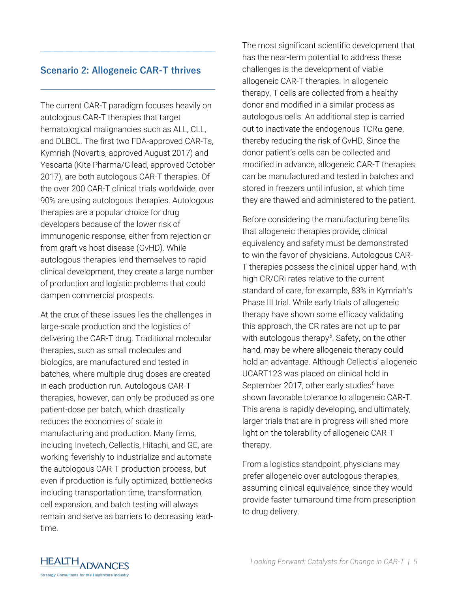#### **Scenario 2: Allogeneic CAR-T thrives**

**\_\_\_\_\_\_\_\_\_\_\_\_\_\_\_\_\_\_\_\_\_\_\_\_\_\_\_\_\_\_\_\_\_\_\_\_\_\_\_**

**\_\_\_\_\_\_\_\_\_\_\_\_\_\_\_\_\_\_\_\_\_\_\_\_\_\_\_\_\_\_\_\_\_\_\_\_\_\_\_**

The current CAR-T paradigm focuses heavily on autologous CAR-T therapies that target hematological malignancies such as ALL, CLL, and DLBCL. The first two FDA-approved CAR-Ts, Kymriah (Novartis, approved August 2017) and Yescarta (Kite Pharma/Gilead, approved October 2017), are both autologous CAR-T therapies. Of the over 200 CAR-T clinical trials worldwide, over 90% are using autologous therapies. Autologous therapies are a popular choice for drug developers because of the lower risk of immunogenic response, either from rejection or from graft vs host disease (GvHD). While autologous therapies lend themselves to rapid clinical development, they create a large number of production and logistic problems that could dampen commercial prospects.

At the crux of these issues lies the challenges in large-scale production and the logistics of delivering the CAR-T drug. Traditional molecular therapies, such as small molecules and biologics, are manufactured and tested in batches, where multiple drug doses are created in each production run. Autologous CAR-T therapies, however, can only be produced as one patient-dose per batch, which drastically reduces the economies of scale in manufacturing and production. Many firms, including Invetech, Cellectis, Hitachi, and GE, are working feverishly to industrialize and automate the autologous CAR-T production process, but even if production is fully optimized, bottlenecks including transportation time, transformation, cell expansion, and batch testing will always remain and serve as barriers to decreasing leadtime.

The most significant scientific development that has the near-term potential to address these challenges is the development of viable allogeneic CAR-T therapies. In allogeneic therapy, T cells are collected from a healthy donor and modified in a similar process as autologous cells. An additional step is carried out to inactivate the endogenous  $TCR\alpha$  gene, thereby reducing the risk of GvHD. Since the donor patient's cells can be collected and modified in advance, allogeneic CAR-T therapies can be manufactured and tested in batches and stored in freezers until infusion, at which time they are thawed and administered to the patient.

Before considering the manufacturing benefits that allogeneic therapies provide, clinical equivalency and safety must be demonstrated to win the favor of physicians. Autologous CAR-T therapies possess the clinical upper hand, with high CR/CRi rates relative to the current standard of care, for example, 83% in Kymriah's Phase III trial. While early trials of allogeneic therapy have shown some efficacy validating this approach, the CR rates are not up to par with autologous therapy<sup>[5](#page-8-4)</sup>. Safety, on the other hand, may be where allogeneic therapy could hold an advantage. Although Cellectis' allogeneic UCART123 was placed on clinical hold in September 2017, other early studies<sup>[6](#page-8-5)</sup> have shown favorable tolerance to allogeneic CAR-T. This arena is rapidly developing, and ultimately, larger trials that are in progress will shed more light on the tolerability of allogeneic CAR-T therapy.

From a logistics standpoint, physicians may prefer allogeneic over autologous therapies, assuming clinical equivalence, since they would provide faster turnaround time from prescription to drug delivery.

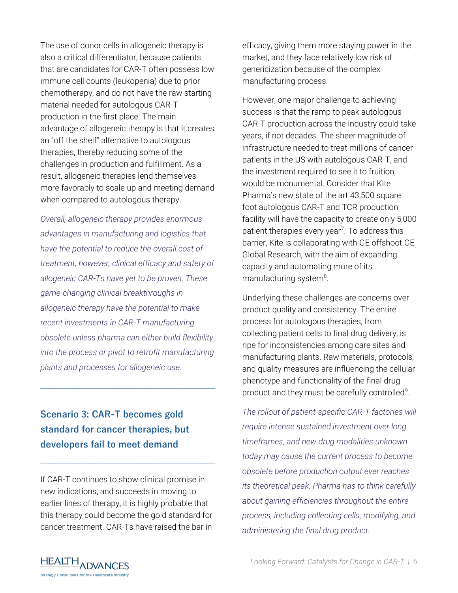The use of donor cells in allogeneic therapy is also a critical differentiator, because patients that are candidates for CAR-T often possess low immune cell counts (leukopenia) due to prior chemotherapy, and do not have the raw starting material needed for autologous CAR-T production in the first place. The main advantage of allogeneic therapy is that it creates an "off the shelf" alternative to autologous therapies, thereby reducing some of the challenges in production and fulfillment. As a result, allogeneic therapies lend themselves more favorably to scale-up and meeting demand when compared to autologous therapy.

*Overall, allogeneic therapy provides enormous advantages in manufacturing and logistics that have the potential to reduce the overall cost of treatment; however, clinical efficacy and safety of allogeneic CAR-Ts have yet to be proven. These game-changing clinical breakthroughs in allogeneic therapy have the potential to make recent investments in CAR-T manufacturing obsolete unless pharma can either build flexibility into the process or pivot to retrofit manufacturing plants and processes for allogeneic use.* 

**\_\_\_\_\_\_\_\_\_\_\_\_\_\_\_\_\_\_\_\_\_\_\_\_\_\_\_\_\_\_\_\_\_\_\_\_\_\_\_**

**Scenario 3: CAR-T becomes gold standard for cancer therapies, but developers fail to meet demand** 

If CAR-T continues to show clinical promise in new indications, and succeeds in moving to earlier lines of therapy, it is highly probable that this therapy could become the gold standard for cancer treatment. CAR-Ts have raised the bar in

**\_\_\_\_\_\_\_\_\_\_\_\_\_\_\_\_\_\_\_\_\_\_\_\_\_\_\_\_\_\_\_\_\_\_\_\_\_\_\_**

efficacy, giving them more staying power in the market, and they face relatively low risk of genericization because of the complex manufacturing process.

However, one major challenge to achieving success is that the ramp to peak autologous CAR-T production across the industry could take years, if not decades. The sheer magnitude of infrastructure needed to treat millions of cancer patients in the US with autologous CAR-T, and the investment required to see it to fruition, would be monumental. Consider that Kite Pharma's new state of the art 43,500 square foot autologous CAR-T and TCR production facility will have the capacity to create only 5,000 patient therapies every year<sup>[7](#page-8-6)</sup>. To address this barrier, Kite is collaborating with GE offshoot GE Global Research, with the aim of expanding capacity and automating more of its manufacturing system<sup>[8](#page-8-7)</sup>.

Underlying these challenges are concerns over product quality and consistency. The entire process for autologous therapies, from collecting patient cells to final drug delivery, is ripe for inconsistencies among care sites and manufacturing plants. Raw materials, protocols, and quality measures are influencing the cellular phenotype and functionality of the final drug product and they must be carefully controlled<sup>[9](#page-8-8)</sup>.

*The rollout of patient-specific CAR-T factories will require intense sustained investment over long timeframes, and new drug modalities unknown today may cause the current process to become obsolete before production output ever reaches its theoretical peak. Pharma has to think carefully about gaining efficiencies throughout the entire process, including collecting cells, modifying, and administering the final drug product.*

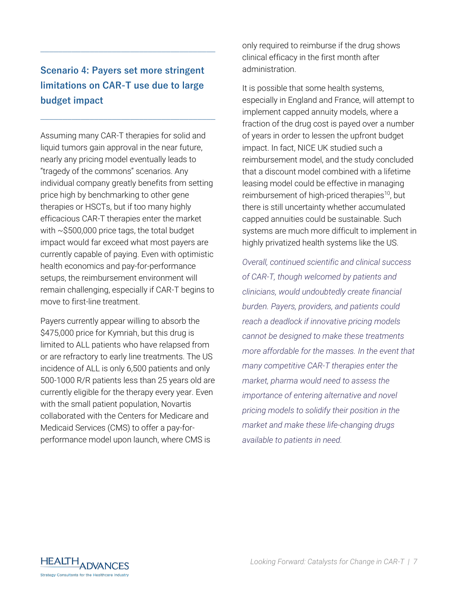# **Scenario 4: Payers set more stringent limitations on CAR-T use due to large budget impact**

**\_\_\_\_\_\_\_\_\_\_\_\_\_\_\_\_\_\_\_\_\_\_\_\_\_\_\_\_\_\_\_\_\_\_\_\_\_\_\_**

**\_\_\_\_\_\_\_\_\_\_\_\_\_\_\_\_\_\_\_\_\_\_\_\_\_\_\_\_\_\_\_\_\_\_\_\_\_\_\_**

Assuming many CAR-T therapies for solid and liquid tumors gain approval in the near future, nearly any pricing model eventually leads to "tragedy of the commons" scenarios. Any individual company greatly benefits from setting price high by benchmarking to other gene therapies or HSCTs, but if too many highly efficacious CAR-T therapies enter the market with ~\$500,000 price tags, the total budget impact would far exceed what most payers are currently capable of paying. Even with optimistic health economics and pay-for-performance setups, the reimbursement environment will remain challenging, especially if CAR-T begins to move to first-line treatment.

Payers currently appear willing to absorb the \$475,000 price for Kymriah, but this drug is limited to ALL patients who have relapsed from or are refractory to early line treatments. The US incidence of ALL is only 6,500 patients and only 500-1000 R/R patients less than 25 years old are currently eligible for the therapy every year. Even with the small patient population, Novartis collaborated with the Centers for Medicare and Medicaid Services (CMS) to offer a pay-forperformance model upon launch, where CMS is

only required to reimburse if the drug shows clinical efficacy in the first month after administration.

It is possible that some health systems, especially in England and France, will attempt to implement capped annuity models, where a fraction of the drug cost is payed over a number of years in order to lessen the upfront budget impact. In fact, NICE UK studied such a reimbursement model, and the study concluded that a discount model combined with a lifetime leasing model could be effective in managing reimbursement of high-priced therapies<sup>[10](#page-8-9)</sup>, but there is still uncertainty whether accumulated capped annuities could be sustainable. Such systems are much more difficult to implement in highly privatized health systems like the US.

*Overall, continued scientific and clinical success of CAR-T, though welcomed by patients and clinicians, would undoubtedly create financial burden. Payers, providers, and patients could reach a deadlock if innovative pricing models cannot be designed to make these treatments more affordable for the masses. In the event that many competitive CAR-T therapies enter the market, pharma would need to assess the importance of entering alternative and novel pricing models to solidify their position in the market and make these life-changing drugs available to patients in need.* 

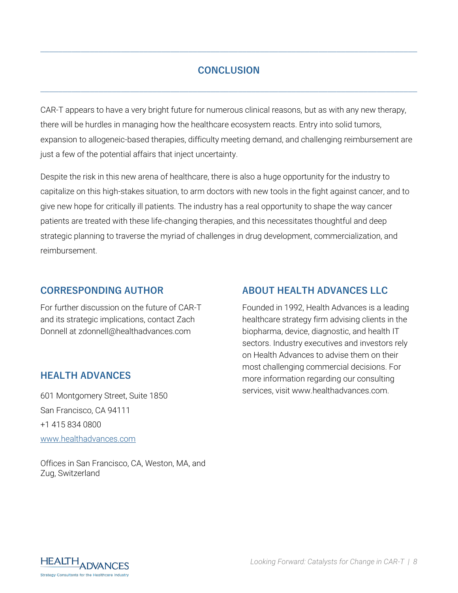## **CONCLUSION**

**\_\_\_\_\_\_\_\_\_\_\_\_\_\_\_\_\_\_\_\_\_\_\_\_\_\_\_\_\_\_\_\_\_\_\_\_\_\_\_\_\_\_\_\_\_\_\_\_\_\_\_\_\_\_\_\_\_\_\_\_\_\_\_\_\_\_\_\_\_\_\_\_\_\_\_\_\_\_\_\_\_\_\_\_**

**\_\_\_\_\_\_\_\_\_\_\_\_\_\_\_\_\_\_\_\_\_\_\_\_\_\_\_\_\_\_\_\_\_\_\_\_\_\_\_\_\_\_\_\_\_\_\_\_\_\_\_\_\_\_\_\_\_\_\_\_\_\_\_\_\_\_\_\_\_\_\_\_\_\_\_\_\_\_\_\_\_\_\_\_**

CAR-T appears to have a very bright future for numerous clinical reasons, but as with any new therapy, there will be hurdles in managing how the healthcare ecosystem reacts. Entry into solid tumors, expansion to allogeneic-based therapies, difficulty meeting demand, and challenging reimbursement are just a few of the potential affairs that inject uncertainty.

Despite the risk in this new arena of healthcare, there is also a huge opportunity for the industry to capitalize on this high-stakes situation, to arm doctors with new tools in the fight against cancer, and to give new hope for critically ill patients. The industry has a real opportunity to shape the way cancer patients are treated with these life-changing therapies, and this necessitates thoughtful and deep strategic planning to traverse the myriad of challenges in drug development, commercialization, and reimbursement.

#### **CORRESPONDING AUTHOR**

For further discussion on the future of CAR-T and its strategic implications, contact Zach Donnell at zdonnell@healthadvances.com

#### **HEALTH ADVANCES**

601 Montgomery Street, Suite 1850 San Francisco, CA 94111 +1 415 834 0800 [www.healthadvances.com](http://www.healthadvances.com/)

Offices in San Francisco, CA, Weston, MA, and Zug, Switzerland

### **ABOUT HEALTH ADVANCES LLC**

Founded in 1992, Health Advances is a leading healthcare strategy firm advising clients in the biopharma, device, diagnostic, and health IT sectors. Industry executives and investors rely on Health Advances to advise them on their most challenging commercial decisions. For more information regarding our consulting services, visit www.healthadvances.com.

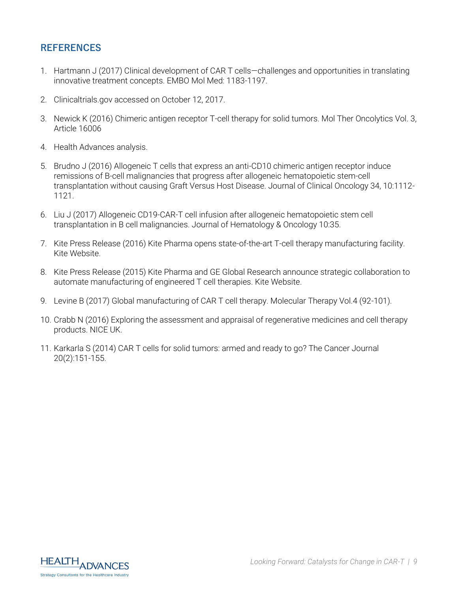#### **REFERENCES**

- <span id="page-8-0"></span>1. Hartmann J (2017) Clinical development of CAR T cells—challenges and opportunities in translating innovative treatment concepts. EMBO Mol Med: 1183-1197.
- <span id="page-8-1"></span>2. Clinicaltrials.gov accessed on October 12, 2017.
- <span id="page-8-2"></span>3. Newick K (2016) Chimeric antigen receptor T-cell therapy for solid tumors. Mol Ther Oncolytics Vol. 3, Article 16006
- <span id="page-8-3"></span>4. Health Advances analysis.
- <span id="page-8-4"></span>5. Brudno J (2016) Allogeneic T cells that express an anti-CD10 chimeric antigen receptor induce remissions of B-cell malignancies that progress after allogeneic hematopoietic stem-cell transplantation without causing Graft Versus Host Disease. Journal of Clinical Oncology 34, 10:1112- 1121.
- <span id="page-8-5"></span>6. Liu J (2017) Allogeneic CD19-CAR-T cell infusion after allogeneic hematopoietic stem cell transplantation in B cell malignancies. Journal of Hematology & Oncology 10:35.
- <span id="page-8-6"></span>7. Kite Press Release (2016) Kite Pharma opens state-of-the-art T-cell therapy manufacturing facility. Kite Website.
- <span id="page-8-7"></span>8. Kite Press Release (2015) Kite Pharma and GE Global Research announce strategic collaboration to automate manufacturing of engineered T cell therapies. Kite Website.
- <span id="page-8-8"></span>9. Levine B (2017) Global manufacturing of CAR T cell therapy. Molecular Therapy Vol.4 (92-101).
- <span id="page-8-9"></span>10. Crabb N (2016) Exploring the assessment and appraisal of regenerative medicines and cell therapy products. NICE UK.
- 11. Karkarla S (2014) CAR T cells for solid tumors: armed and ready to go? The Cancer Journal 20(2):151-155.